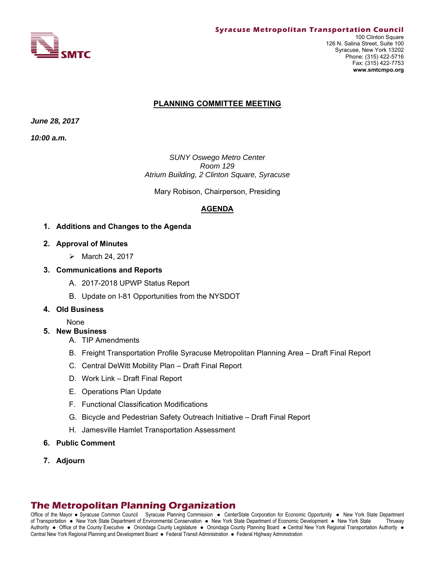

### **PLANNING COMMITTEE MEETING**

*June 28, 2017* 

*10:00 a.m.*

*SUNY Oswego Metro Center Room 129 Atrium Building, 2 Clinton Square, Syracuse*

Mary Robison, Chairperson, Presiding

## **AGENDA**

- **1. Additions and Changes to the Agenda**
- **2. Approval of Minutes** 
	- $\triangleright$  March 24, 2017
- **3. Communications and Reports** 
	- A. 2017-2018 UPWP Status Report
	- B. Update on I-81 Opportunities from the NYSDOT
- **4. Old Business**

None

- **5. New Business** 
	- A. TIP Amendments
	- B. Freight Transportation Profile Syracuse Metropolitan Planning Area Draft Final Report
	- C. Central DeWitt Mobility Plan Draft Final Report
	- D. Work Link Draft Final Report
	- E. Operations Plan Update
	- F. Functional Classification Modifications
	- G. Bicycle and Pedestrian Safety Outreach Initiative Draft Final Report
	- H. Jamesville Hamlet Transportation Assessment
- **6. Public Comment**
- **7. Adjourn**

## **The Metropolitan Planning Organization**

Office of the Mayor • Syracuse Common Council Syracuse Planning Commission • CenterState Corporation for Economic Opportunity • New York State Department of Transportation New York State Department of Environmental Conservation New York State Department of Economic Development New York State Thruway Authority . Office of the County Executive . Onondaga County Legislature . Onondaga County Planning Board . Central New York Regional Transportation Authority . Central New York Regional Planning and Development Board · Federal Transit Administration · Federal Highway Administration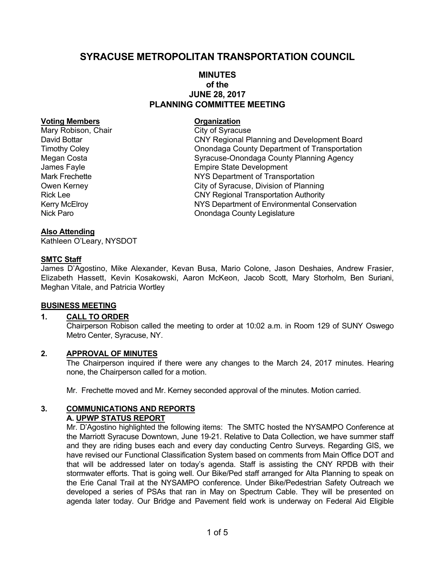# **SYRACUSE METROPOLITAN TRANSPORTATION COUNCIL**

## **MINUTES of the JUNE 28, 2017 PLANNING COMMITTEE MEETING**

#### **Voting Members Construction Construction Construction Construction Construction Construction Construction Construction Construction Construction Construction Construction Construction Construction Construction Constructio**

Mary Robison, Chair City of Syracuse

David Bottar CNY Regional Planning and Development Board Timothy Coley Onondaga County Department of Transportation Megan Costa **Syracuse-Onondaga County Planning Agency** James Fayle **Empire State Development** Mark Frechette **NYS Department of Transportation** Owen Kerney **City of Syracuse, Division of Planning** Rick Lee **CNY Regional Transportation Authority** Kerry McElroy **NYS Department of Environmental Conservation** Nick Paro **Nick Paro County Legislature** Onondaga County Legislature

### **Also Attending**

Kathleen O'Leary, NYSDOT

### **SMTC Staff**

James D'Agostino, Mike Alexander, Kevan Busa, Mario Colone, Jason Deshaies, Andrew Frasier, Elizabeth Hassett, Kevin Kosakowski, Aaron McKeon, Jacob Scott, Mary Storholm, Ben Suriani, Meghan Vitale, and Patricia Wortley

### **BUSINESS MEETING**

## **1. CALL TO ORDER**

Chairperson Robison called the meeting to order at 10:02 a.m. in Room 129 of SUNY Oswego Metro Center, Syracuse, NY.

### **2. APPROVAL OF MINUTES**

The Chairperson inquired if there were any changes to the March 24, 2017 minutes. Hearing none, the Chairperson called for a motion.

Mr. Frechette moved and Mr. Kerney seconded approval of the minutes. Motion carried.

#### **3. COMMUNICATIONS AND REPORTS A. UPWP STATUS REPORT**

Mr. D'Agostino highlighted the following items: The SMTC hosted the NYSAMPO Conference at the Marriott Syracuse Downtown, June 19-21. Relative to Data Collection, we have summer staff and they are riding buses each and every day conducting Centro Surveys. Regarding GIS, we have revised our Functional Classification System based on comments from Main Office DOT and that will be addressed later on today's agenda. Staff is assisting the CNY RPDB with their stormwater efforts. That is going well. Our Bike/Ped staff arranged for Alta Planning to speak on the Erie Canal Trail at the NYSAMPO conference. Under Bike/Pedestrian Safety Outreach we developed a series of PSAs that ran in May on Spectrum Cable. They will be presented on agenda later today. Our Bridge and Pavement field work is underway on Federal Aid Eligible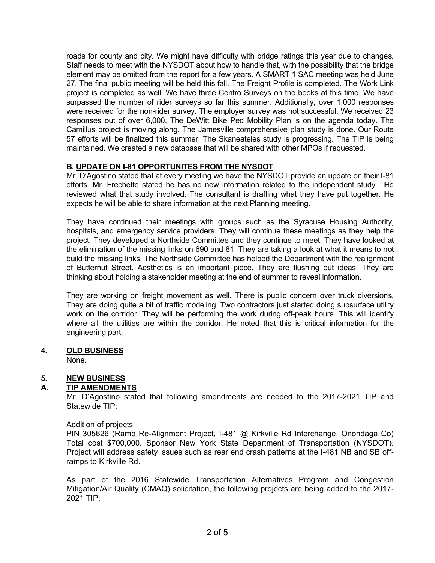roads for county and city. We might have difficulty with bridge ratings this year due to changes. Staff needs to meet with the NYSDOT about how to handle that, with the possibility that the bridge element may be omitted from the report for a few years. A SMART 1 SAC meeting was held June 27. The final public meeting will be held this fall. The Freight Profile is completed. The Work Link project is completed as well. We have three Centro Surveys on the books at this time. We have surpassed the number of rider surveys so far this summer. Additionally, over 1,000 responses were received for the non-rider survey. The employer survey was not successful. We received 23 responses out of over 6,000. The DeWitt Bike Ped Mobility Plan is on the agenda today. The Camillus project is moving along. The Jamesville comprehensive plan study is done. Our Route 57 efforts will be finalized this summer. The Skaneateles study is progressing. The TIP is being maintained. We created a new database that will be shared with other MPOs if requested.

## **B. UPDATE ON I-81 OPPORTUNITES FROM THE NYSDOT**

Mr. D'Agostino stated that at every meeting we have the NYSDOT provide an update on their I-81 efforts. Mr. Frechette stated he has no new information related to the independent study. He reviewed what that study involved. The consultant is drafting what they have put together. He expects he will be able to share information at the next Planning meeting.

They have continued their meetings with groups such as the Syracuse Housing Authority, hospitals, and emergency service providers. They will continue these meetings as they help the project. They developed a Northside Committee and they continue to meet. They have looked at the elimination of the missing links on 690 and 81. They are taking a look at what it means to not build the missing links. The Northside Committee has helped the Department with the realignment of Butternut Street. Aesthetics is an important piece. They are flushing out ideas. They are thinking about holding a stakeholder meeting at the end of summer to reveal information.

They are working on freight movement as well. There is public concern over truck diversions. They are doing quite a bit of traffic modeling. Two contractors just started doing subsurface utility work on the corridor. They will be performing the work during off-peak hours. This will identify where all the utilities are within the corridor. He noted that this is critical information for the engineering part.

## **4. OLD BUSINESS**

None.

## **5. NEW BUSINESS**

## **A. TIP AMENDMENTS**

Mr. D'Agostino stated that following amendments are needed to the 2017-2021 TIP and Statewide TIP:

### Addition of projects

PIN 305626 (Ramp Re-Alignment Project, I-481 @ Kirkville Rd Interchange, Onondaga Co) Total cost \$700,000. Sponsor New York State Department of Transportation (NYSDOT). Project will address safety issues such as rear end crash patterns at the I-481 NB and SB offramps to Kirkville Rd.

As part of the 2016 Statewide Transportation Alternatives Program and Congestion Mitigation/Air Quality (CMAQ) solicitation, the following projects are being added to the 2017- 2021 TIP: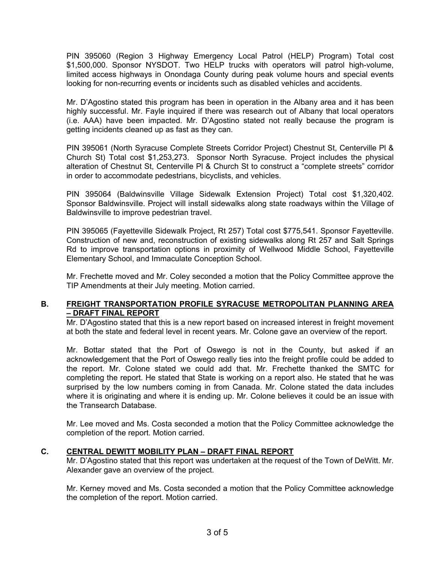PIN 395060 (Region 3 Highway Emergency Local Patrol (HELP) Program) Total cost \$1,500,000. Sponsor NYSDOT. Two HELP trucks with operators will patrol high-volume, limited access highways in Onondaga County during peak volume hours and special events looking for non-recurring events or incidents such as disabled vehicles and accidents.

Mr. D'Agostino stated this program has been in operation in the Albany area and it has been highly successful. Mr. Fayle inquired if there was research out of Albany that local operators (i.e. AAA) have been impacted. Mr. D'Agostino stated not really because the program is getting incidents cleaned up as fast as they can.

PIN 395061 (North Syracuse Complete Streets Corridor Project) Chestnut St, Centerville Pl & Church St) Total cost \$1,253,273. Sponsor North Syracuse. Project includes the physical alteration of Chestnut St, Centerville Pl & Church St to construct a "complete streets" corridor in order to accommodate pedestrians, bicyclists, and vehicles.

PIN 395064 (Baldwinsville Village Sidewalk Extension Project) Total cost \$1,320,402. Sponsor Baldwinsville. Project will install sidewalks along state roadways within the Village of Baldwinsville to improve pedestrian travel.

PIN 395065 (Fayetteville Sidewalk Project, Rt 257) Total cost \$775,541. Sponsor Fayetteville. Construction of new and, reconstruction of existing sidewalks along Rt 257 and Salt Springs Rd to improve transportation options in proximity of Wellwood Middle School, Fayetteville Elementary School, and Immaculate Conception School.

Mr. Frechette moved and Mr. Coley seconded a motion that the Policy Committee approve the TIP Amendments at their July meeting. Motion carried.

## **B. FREIGHT TRANSPORTATION PROFILE SYRACUSE METROPOLITAN PLANNING AREA – DRAFT FINAL REPORT**

Mr. D'Agostino stated that this is a new report based on increased interest in freight movement at both the state and federal level in recent years. Mr. Colone gave an overview of the report.

Mr. Bottar stated that the Port of Oswego is not in the County, but asked if an acknowledgement that the Port of Oswego really ties into the freight profile could be added to the report. Mr. Colone stated we could add that. Mr. Frechette thanked the SMTC for completing the report. He stated that State is working on a report also. He stated that he was surprised by the low numbers coming in from Canada. Mr. Colone stated the data includes where it is originating and where it is ending up. Mr. Colone believes it could be an issue with the Transearch Database.

Mr. Lee moved and Ms. Costa seconded a motion that the Policy Committee acknowledge the completion of the report. Motion carried.

## **C. CENTRAL DEWITT MOBILITY PLAN – DRAFT FINAL REPORT**

Mr. D'Agostino stated that this report was undertaken at the request of the Town of DeWitt. Mr. Alexander gave an overview of the project.

Mr. Kerney moved and Ms. Costa seconded a motion that the Policy Committee acknowledge the completion of the report. Motion carried.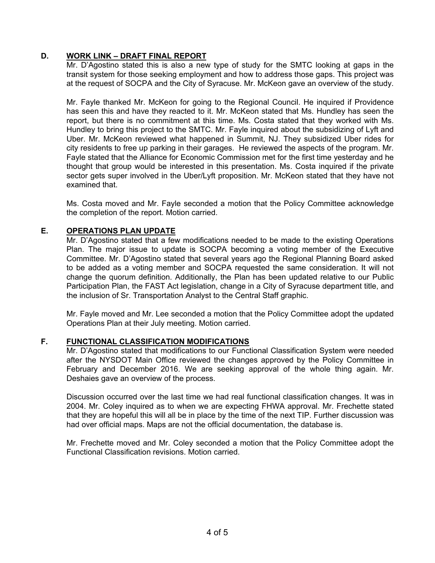## **D. WORK LINK – DRAFT FINAL REPORT**

Mr. D'Agostino stated this is also a new type of study for the SMTC looking at gaps in the transit system for those seeking employment and how to address those gaps. This project was at the request of SOCPA and the City of Syracuse. Mr. McKeon gave an overview of the study.

Mr. Fayle thanked Mr. McKeon for going to the Regional Council. He inquired if Providence has seen this and have they reacted to it. Mr. McKeon stated that Ms. Hundley has seen the report, but there is no commitment at this time. Ms. Costa stated that they worked with Ms. Hundley to bring this project to the SMTC. Mr. Fayle inquired about the subsidizing of Lyft and Uber. Mr. McKeon reviewed what happened in Summit, NJ. They subsidized Uber rides for city residents to free up parking in their garages. He reviewed the aspects of the program. Mr. Fayle stated that the Alliance for Economic Commission met for the first time yesterday and he thought that group would be interested in this presentation. Ms. Costa inquired if the private sector gets super involved in the Uber/Lyft proposition. Mr. McKeon stated that they have not examined that.

Ms. Costa moved and Mr. Fayle seconded a motion that the Policy Committee acknowledge the completion of the report. Motion carried.

## **E. OPERATIONS PLAN UPDATE**

Mr. D'Agostino stated that a few modifications needed to be made to the existing Operations Plan. The major issue to update is SOCPA becoming a voting member of the Executive Committee. Mr. D'Agostino stated that several years ago the Regional Planning Board asked to be added as a voting member and SOCPA requested the same consideration. It will not change the quorum definition. Additionally, the Plan has been updated relative to our Public Participation Plan, the FAST Act legislation, change in a City of Syracuse department title, and the inclusion of Sr. Transportation Analyst to the Central Staff graphic.

Mr. Fayle moved and Mr. Lee seconded a motion that the Policy Committee adopt the updated Operations Plan at their July meeting. Motion carried.

### **F. FUNCTIONAL CLASSIFICATION MODIFICATIONS**

Mr. D'Agostino stated that modifications to our Functional Classification System were needed after the NYSDOT Main Office reviewed the changes approved by the Policy Committee in February and December 2016. We are seeking approval of the whole thing again. Mr. Deshaies gave an overview of the process.

Discussion occurred over the last time we had real functional classification changes. It was in 2004. Mr. Coley inquired as to when we are expecting FHWA approval. Mr. Frechette stated that they are hopeful this will all be in place by the time of the next TIP. Further discussion was had over official maps. Maps are not the official documentation, the database is.

Mr. Frechette moved and Mr. Coley seconded a motion that the Policy Committee adopt the Functional Classification revisions. Motion carried.